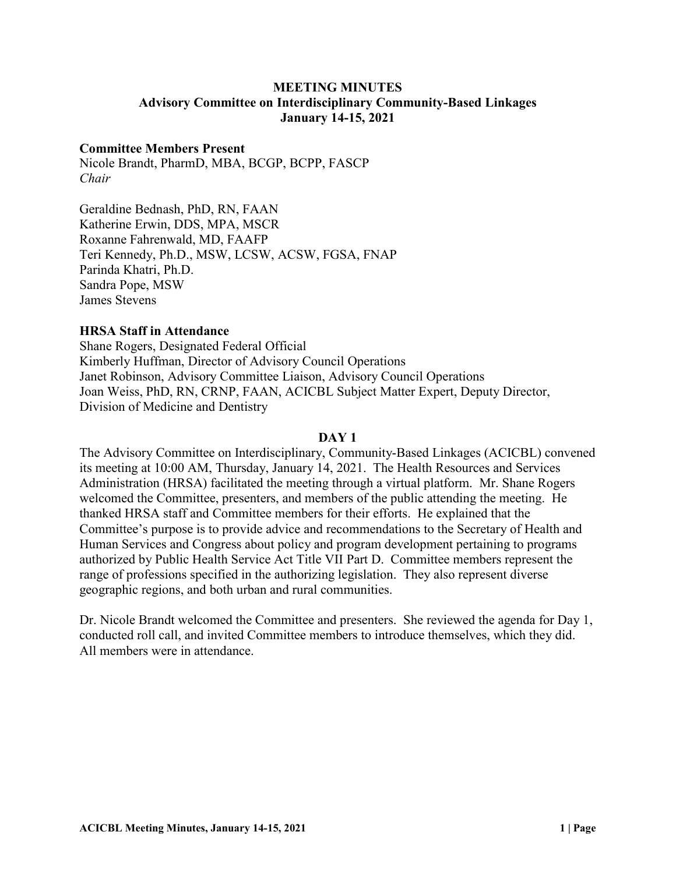### **MEETING MINUTES Advisory Committee on Interdisciplinary Community-Based Linkages January 14-15, 2021**

### **Committee Members Present**

Nicole Brandt, PharmD, MBA, BCGP, BCPP, FASCP *Chair* 

Geraldine Bednash, PhD, RN, FAAN Katherine Erwin, DDS, MPA, MSCR Roxanne Fahrenwald, MD, FAAFP Teri Kennedy, Ph.D., MSW, LCSW, ACSW, FGSA, FNAP Parinda Khatri, Ph.D. Sandra Pope, MSW James Stevens

### **HRSA Staff in Attendance**

Shane Rogers, Designated Federal Official Kimberly Huffman, Director of Advisory Council Operations Janet Robinson, Advisory Committee Liaison, Advisory Council Operations Joan Weiss, PhD, RN, CRNP, FAAN, ACICBL Subject Matter Expert, Deputy Director, Division of Medicine and Dentistry

#### **DAY 1**

The Advisory Committee on Interdisciplinary, Community-Based Linkages (ACICBL) convened its meeting at 10:00 AM, Thursday, January 14, 2021. The Health Resources and Services Administration (HRSA) facilitated the meeting through a virtual platform. Mr. Shane Rogers welcomed the Committee, presenters, and members of the public attending the meeting. He thanked HRSA staff and Committee members for their efforts. He explained that the Committee's purpose is to provide advice and recommendations to the Secretary of Health and Human Services and Congress about policy and program development pertaining to programs authorized by Public Health Service Act Title VII Part D. Committee members represent the range of professions specified in the authorizing legislation. They also represent diverse geographic regions, and both urban and rural communities.

Dr. Nicole Brandt welcomed the Committee and presenters. She reviewed the agenda for Day 1, conducted roll call, and invited Committee members to introduce themselves, which they did. All members were in attendance.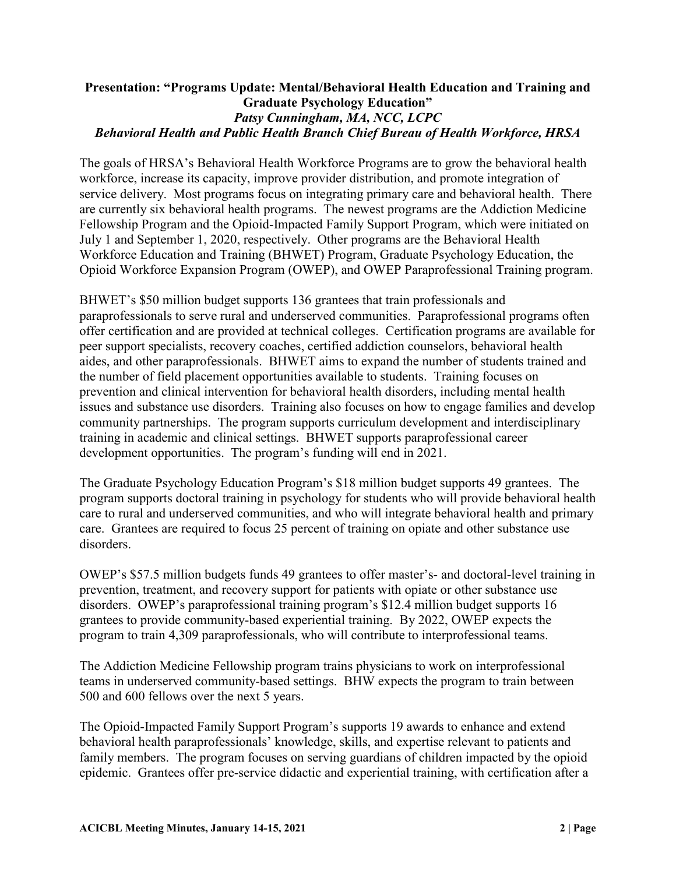# **Presentation: "Programs Update: Mental/Behavioral Health Education and Training and Graduate Psychology Education"**  *Patsy Cunningham, MA, NCC, LCPC Behavioral Health and Public Health Branch Chief Bureau of Health Workforce, HRSA*

The goals of HRSA's Behavioral Health Workforce Programs are to grow the behavioral health workforce, increase its capacity, improve provider distribution, and promote integration of service delivery. Most programs focus on integrating primary care and behavioral health. There are currently six behavioral health programs. The newest programs are the Addiction Medicine Fellowship Program and the Opioid-Impacted Family Support Program, which were initiated on July 1 and September 1, 2020, respectively. Other programs are the Behavioral Health Workforce Education and Training (BHWET) Program, Graduate Psychology Education, the Opioid Workforce Expansion Program (OWEP), and OWEP Paraprofessional Training program.

BHWET's \$50 million budget supports 136 grantees that train professionals and paraprofessionals to serve rural and underserved communities. Paraprofessional programs often offer certification and are provided at technical colleges. Certification programs are available for peer support specialists, recovery coaches, certified addiction counselors, behavioral health aides, and other paraprofessionals. BHWET aims to expand the number of students trained and the number of field placement opportunities available to students. Training focuses on prevention and clinical intervention for behavioral health disorders, including mental health issues and substance use disorders. Training also focuses on how to engage families and develop community partnerships. The program supports curriculum development and interdisciplinary training in academic and clinical settings. BHWET supports paraprofessional career development opportunities. The program's funding will end in 2021.

The Graduate Psychology Education Program's \$18 million budget supports 49 grantees. The program supports doctoral training in psychology for students who will provide behavioral health care to rural and underserved communities, and who will integrate behavioral health and primary care. Grantees are required to focus 25 percent of training on opiate and other substance use disorders.

OWEP's \$57.5 million budgets funds 49 grantees to offer master's- and doctoral-level training in prevention, treatment, and recovery support for patients with opiate or other substance use disorders. OWEP's paraprofessional training program's \$12.4 million budget supports 16 grantees to provide community-based experiential training. By 2022, OWEP expects the program to train 4,309 paraprofessionals, who will contribute to interprofessional teams.

The Addiction Medicine Fellowship program trains physicians to work on interprofessional teams in underserved community-based settings. BHW expects the program to train between 500 and 600 fellows over the next 5 years.

The Opioid-Impacted Family Support Program's supports 19 awards to enhance and extend behavioral health paraprofessionals' knowledge, skills, and expertise relevant to patients and family members. The program focuses on serving guardians of children impacted by the opioid epidemic. Grantees offer pre-service didactic and experiential training, with certification after a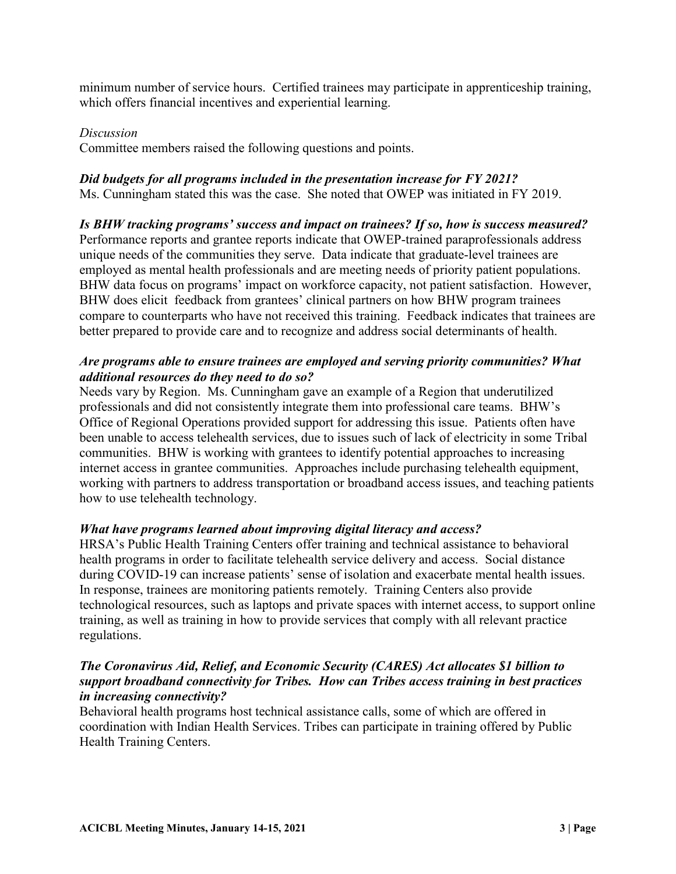minimum number of service hours. Certified trainees may participate in apprenticeship training, which offers financial incentives and experiential learning.

# *Discussion*

Committee members raised the following questions and points.

# *Did budgets for all programs included in the presentation increase for FY 2021?*

Ms. Cunningham stated this was the case. She noted that OWEP was initiated in FY 2019.

# *Is BHW tracking programs' success and impact on trainees? If so, how is success measured?*

Performance reports and grantee reports indicate that OWEP-trained paraprofessionals address unique needs of the communities they serve. Data indicate that graduate-level trainees are employed as mental health professionals and are meeting needs of priority patient populations. BHW data focus on programs' impact on workforce capacity, not patient satisfaction. However, BHW does elicit feedback from grantees' clinical partners on how BHW program trainees compare to counterparts who have not received this training. Feedback indicates that trainees are better prepared to provide care and to recognize and address social determinants of health.

# *Are programs able to ensure trainees are employed and serving priority communities? What additional resources do they need to do so?*

Needs vary by Region. Ms. Cunningham gave an example of a Region that underutilized professionals and did not consistently integrate them into professional care teams. BHW's Office of Regional Operations provided support for addressing this issue. Patients often have been unable to access telehealth services, due to issues such of lack of electricity in some Tribal communities. BHW is working with grantees to identify potential approaches to increasing internet access in grantee communities. Approaches include purchasing telehealth equipment, working with partners to address transportation or broadband access issues, and teaching patients how to use telehealth technology.

# *What have programs learned about improving digital literacy and access?*

HRSA's Public Health Training Centers offer training and technical assistance to behavioral health programs in order to facilitate telehealth service delivery and access. Social distance during COVID-19 can increase patients' sense of isolation and exacerbate mental health issues. In response, trainees are monitoring patients remotely. Training Centers also provide technological resources, such as laptops and private spaces with internet access, to support online training, as well as training in how to provide services that comply with all relevant practice regulations.

# *The Coronavirus Aid, Relief, and Economic Security (CARES) Act allocates \$1 billion to support broadband connectivity for Tribes. How can Tribes access training in best practices in increasing connectivity?*

Behavioral health programs host technical assistance calls, some of which are offered in coordination with Indian Health Services. Tribes can participate in training offered by Public Health Training Centers.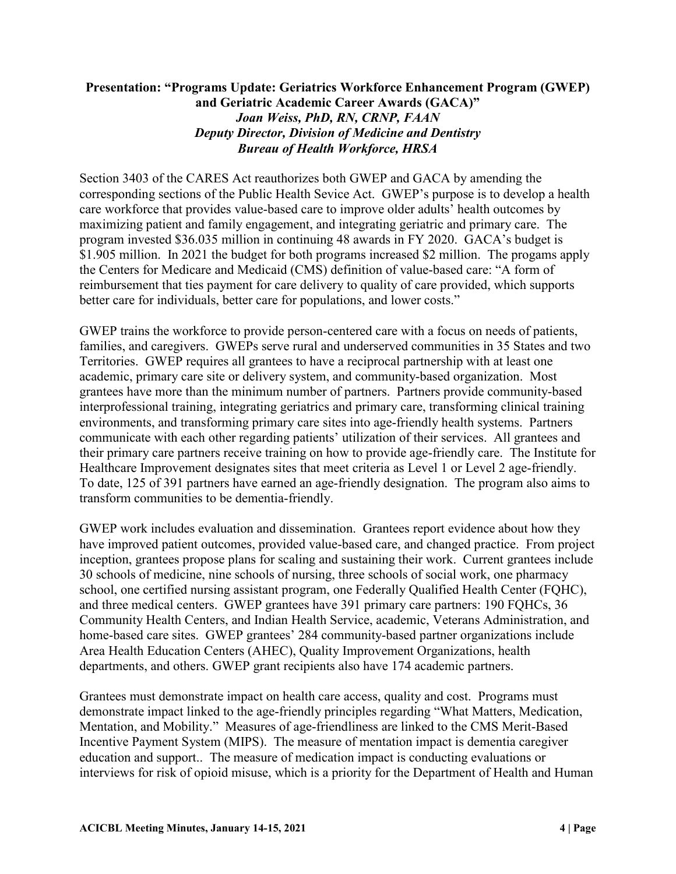# **Presentation: "Programs Update: Geriatrics Workforce Enhancement Program (GWEP) and Geriatric Academic Career Awards (GACA)"**  *Joan Weiss, PhD, RN, CRNP, FAAN Deputy Director, Division of Medicine and Dentistry Bureau of Health Workforce, HRSA*

Section 3403 of the CARES Act reauthorizes both GWEP and GACA by amending the corresponding sections of the Public Health Sevice Act. GWEP's purpose is to develop a health care workforce that provides value-based care to improve older adults' health outcomes by maximizing patient and family engagement, and integrating geriatric and primary care. The program invested \$36.035 million in continuing 48 awards in FY 2020. GACA's budget is \$1.905 million. In 2021 the budget for both programs increased \$2 million. The progams apply the Centers for Medicare and Medicaid (CMS) definition of value-based care: "A form of reimbursement that ties payment for care delivery to quality of care provided, which supports better care for individuals, better care for populations, and lower costs."

GWEP trains the workforce to provide person-centered care with a focus on needs of patients, families, and caregivers. GWEPs serve rural and underserved communities in 35 States and two Territories. GWEP requires all grantees to have a reciprocal partnership with at least one academic, primary care site or delivery system, and community-based organization. Most grantees have more than the minimum number of partners. Partners provide community-based interprofessional training, integrating geriatrics and primary care, transforming clinical training environments, and transforming primary care sites into age-friendly health systems. Partners communicate with each other regarding patients' utilization of their services. All grantees and their primary care partners receive training on how to provide age-friendly care. The Institute for Healthcare Improvement designates sites that meet criteria as Level 1 or Level 2 age-friendly. To date, 125 of 391 partners have earned an age-friendly designation. The program also aims to transform communities to be dementia-friendly.

GWEP work includes evaluation and dissemination. Grantees report evidence about how they have improved patient outcomes, provided value-based care, and changed practice. From project inception, grantees propose plans for scaling and sustaining their work. Current grantees include 30 schools of medicine, nine schools of nursing, three schools of social work, one pharmacy school, one certified nursing assistant program, one Federally Qualified Health Center (FQHC), and three medical centers. GWEP grantees have 391 primary care partners: 190 FQHCs, 36 Community Health Centers, and Indian Health Service, academic, Veterans Administration, and home-based care sites. GWEP grantees' 284 community-based partner organizations include Area Health Education Centers (AHEC), Quality Improvement Organizations, health departments, and others. GWEP grant recipients also have 174 academic partners.

Grantees must demonstrate impact on health care access, quality and cost. Programs must demonstrate impact linked to the age-friendly principles regarding "What Matters, Medication, Mentation, and Mobility." Measures of age-friendliness are linked to the CMS Merit-Based Incentive Payment System (MIPS). The measure of mentation impact is dementia caregiver education and support.. The measure of medication impact is conducting evaluations or interviews for risk of opioid misuse, which is a priority for the Department of Health and Human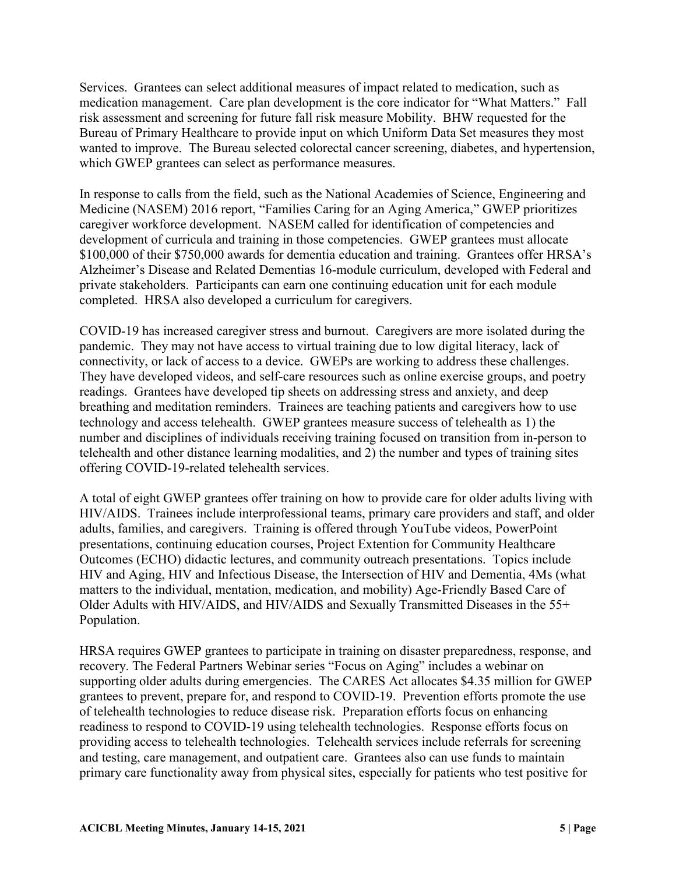Services. Grantees can select additional measures of impact related to medication, such as medication management. Care plan development is the core indicator for "What Matters." Fall risk assessment and screening for future fall risk measure Mobility. BHW requested for the Bureau of Primary Healthcare to provide input on which Uniform Data Set measures they most wanted to improve. The Bureau selected colorectal cancer screening, diabetes, and hypertension, which GWEP grantees can select as performance measures.

In response to calls from the field, such as the National Academies of Science, Engineering and Medicine (NASEM) 2016 report, "Families Caring for an Aging America," GWEP prioritizes caregiver workforce development. NASEM called for identification of competencies and development of curricula and training in those competencies. GWEP grantees must allocate \$100,000 of their \$750,000 awards for dementia education and training. Grantees offer HRSA's Alzheimer's Disease and Related Dementias 16-module curriculum, developed with Federal and private stakeholders. Participants can earn one continuing education unit for each module completed. HRSA also developed a curriculum for caregivers.

COVID-19 has increased caregiver stress and burnout. Caregivers are more isolated during the pandemic. They may not have access to virtual training due to low digital literacy, lack of connectivity, or lack of access to a device. GWEPs are working to address these challenges. They have developed videos, and self-care resources such as online exercise groups, and poetry readings. Grantees have developed tip sheets on addressing stress and anxiety, and deep breathing and meditation reminders. Trainees are teaching patients and caregivers how to use technology and access telehealth. GWEP grantees measure success of telehealth as 1) the number and disciplines of individuals receiving training focused on transition from in-person to telehealth and other distance learning modalities, and 2) the number and types of training sites offering COVID-19-related telehealth services.

A total of eight GWEP grantees offer training on how to provide care for older adults living with HIV/AIDS. Trainees include interprofessional teams, primary care providers and staff, and older adults, families, and caregivers. Training is offered through YouTube videos, PowerPoint presentations, continuing education courses, Project Extention for Community Healthcare Outcomes (ECHO) didactic lectures, and community outreach presentations. Topics include HIV and Aging, HIV and Infectious Disease, the Intersection of HIV and Dementia, 4Ms (what matters to the individual, mentation, medication, and mobility) Age-Friendly Based Care of Older Adults with HIV/AIDS, and HIV/AIDS and Sexually Transmitted Diseases in the 55+ Population.

HRSA requires GWEP grantees to participate in training on disaster preparedness, response, and recovery. The Federal Partners Webinar series "Focus on Aging" includes a webinar on supporting older adults during emergencies. The CARES Act allocates \$4.35 million for GWEP grantees to prevent, prepare for, and respond to COVID-19. Prevention efforts promote the use of telehealth technologies to reduce disease risk. Preparation efforts focus on enhancing readiness to respond to COVID-19 using telehealth technologies. Response efforts focus on providing access to telehealth technologies. Telehealth services include referrals for screening and testing, care management, and outpatient care. Grantees also can use funds to maintain primary care functionality away from physical sites, especially for patients who test positive for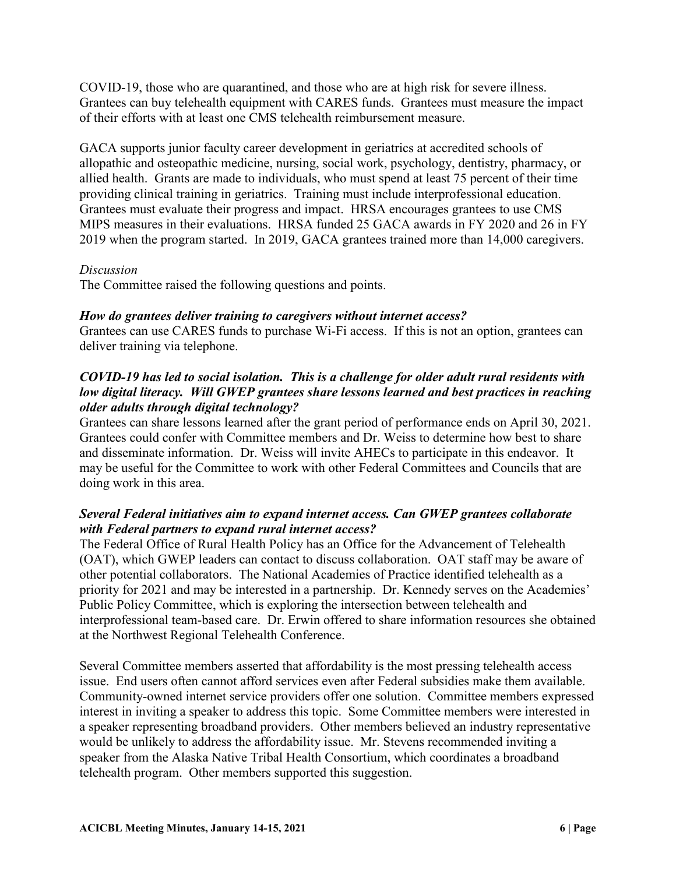COVID-19, those who are quarantined, and those who are at high risk for severe illness. Grantees can buy telehealth equipment with CARES funds. Grantees must measure the impact of their efforts with at least one CMS telehealth reimbursement measure.

GACA supports junior faculty career development in geriatrics at accredited schools of allopathic and osteopathic medicine, nursing, social work, psychology, dentistry, pharmacy, or allied health. Grants are made to individuals, who must spend at least 75 percent of their time providing clinical training in geriatrics. Training must include interprofessional education. Grantees must evaluate their progress and impact. HRSA encourages grantees to use CMS MIPS measures in their evaluations. HRSA funded 25 GACA awards in FY 2020 and 26 in FY 2019 when the program started. In 2019, GACA grantees trained more than 14,000 caregivers.

# *Discussion*

The Committee raised the following questions and points.

# *How do grantees deliver training to caregivers without internet access?*

Grantees can use CARES funds to purchase Wi-Fi access. If this is not an option, grantees can deliver training via telephone.

# *COVID-19 has led to social isolation. This is a challenge for older adult rural residents with low digital literacy. Will GWEP grantees share lessons learned and best practices in reaching older adults through digital technology?*

Grantees can share lessons learned after the grant period of performance ends on April 30, 2021. Grantees could confer with Committee members and Dr. Weiss to determine how best to share and disseminate information. Dr. Weiss will invite AHECs to participate in this endeavor. It may be useful for the Committee to work with other Federal Committees and Councils that are doing work in this area.

# *Several Federal initiatives aim to expand internet access. Can GWEP grantees collaborate with Federal partners to expand rural internet access?*

The Federal Office of Rural Health Policy has an Office for the Advancement of Telehealth (OAT), which GWEP leaders can contact to discuss collaboration. OAT staff may be aware of other potential collaborators. The National Academies of Practice identified telehealth as a priority for 2021 and may be interested in a partnership. Dr. Kennedy serves on the Academies' Public Policy Committee, which is exploring the intersection between telehealth and interprofessional team-based care. Dr. Erwin offered to share information resources she obtained at the Northwest Regional Telehealth Conference.

Several Committee members asserted that affordability is the most pressing telehealth access issue. End users often cannot afford services even after Federal subsidies make them available. Community-owned internet service providers offer one solution. Committee members expressed interest in inviting a speaker to address this topic. Some Committee members were interested in a speaker representing broadband providers. Other members believed an industry representative would be unlikely to address the affordability issue. Mr. Stevens recommended inviting a speaker from the Alaska Native Tribal Health Consortium, which coordinates a broadband telehealth program. Other members supported this suggestion.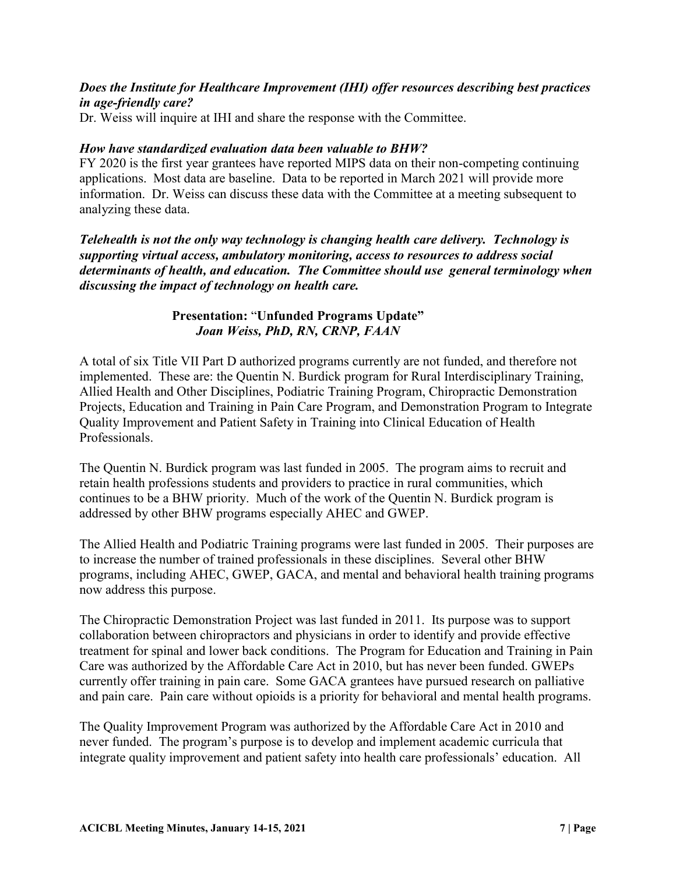# *Does the Institute for Healthcare Improvement (IHI) offer resources describing best practices in age-friendly care?*

Dr. Weiss will inquire at IHI and share the response with the Committee.

### *How have standardized evaluation data been valuable to BHW?*

FY 2020 is the first year grantees have reported MIPS data on their non-competing continuing applications. Most data are baseline. Data to be reported in March 2021 will provide more information. Dr. Weiss can discuss these data with the Committee at a meeting subsequent to analyzing these data.

# *Telehealth is not the only way technology is changing health care delivery. Technology is supporting virtual access, ambulatory monitoring, access to resources to address social determinants of health, and education. The Committee should use general terminology when discussing the impact of technology on health care.*

# **Presentation:** "**Unfunded Programs Update"**  *Joan Weiss, PhD, RN, CRNP, FAAN*

A total of six Title VII Part D authorized programs currently are not funded, and therefore not implemented. These are: the Quentin N. Burdick program for Rural Interdisciplinary Training, Allied Health and Other Disciplines, Podiatric Training Program, Chiropractic Demonstration Projects, Education and Training in Pain Care Program, and Demonstration Program to Integrate Quality Improvement and Patient Safety in Training into Clinical Education of Health Professionals.

The Quentin N. Burdick program was last funded in 2005. The program aims to recruit and retain health professions students and providers to practice in rural communities, which continues to be a BHW priority. Much of the work of the Quentin N. Burdick program is addressed by other BHW programs especially AHEC and GWEP.

The Allied Health and Podiatric Training programs were last funded in 2005. Their purposes are to increase the number of trained professionals in these disciplines. Several other BHW programs, including AHEC, GWEP, GACA, and mental and behavioral health training programs now address this purpose.

The Chiropractic Demonstration Project was last funded in 2011. Its purpose was to support collaboration between chiropractors and physicians in order to identify and provide effective treatment for spinal and lower back conditions. The Program for Education and Training in Pain Care was authorized by the Affordable Care Act in 2010, but has never been funded. GWEPs currently offer training in pain care. Some GACA grantees have pursued research on palliative and pain care. Pain care without opioids is a priority for behavioral and mental health programs.

The Quality Improvement Program was authorized by the Affordable Care Act in 2010 and never funded. The program's purpose is to develop and implement academic curricula that integrate quality improvement and patient safety into health care professionals' education. All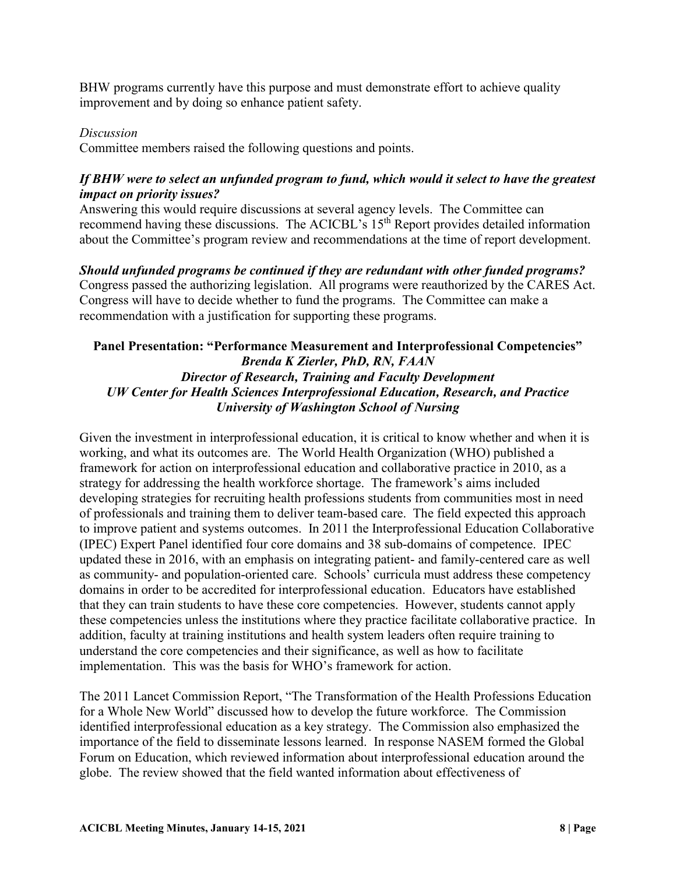BHW programs currently have this purpose and must demonstrate effort to achieve quality improvement and by doing so enhance patient safety.

### *Discussion*

Committee members raised the following questions and points.

# *If BHW were to select an unfunded program to fund, which would it select to have the greatest impact on priority issues?*

Answering this would require discussions at several agency levels. The Committee can recommend having these discussions. The ACICBL's 15th Report provides detailed information about the Committee's program review and recommendations at the time of report development.

*Should unfunded programs be continued if they are redundant with other funded programs?*  Congress passed the authorizing legislation. All programs were reauthorized by the CARES Act. Congress will have to decide whether to fund the programs. The Committee can make a recommendation with a justification for supporting these programs.

# **Panel Presentation: "Performance Measurement and Interprofessional Competencies"**  *Brenda K Zierler, PhD, RN, FAAN Director of Research, Training and Faculty Development UW Center for Health Sciences Interprofessional Education, Research, and Practice University of Washington School of Nursing*

Given the investment in interprofessional education, it is critical to know whether and when it is working, and what its outcomes are. The World Health Organization (WHO) published a framework for action on interprofessional education and collaborative practice in 2010, as a strategy for addressing the health workforce shortage. The framework's aims included developing strategies for recruiting health professions students from communities most in need of professionals and training them to deliver team-based care. The field expected this approach to improve patient and systems outcomes. In 2011 the Interprofessional Education Collaborative (IPEC) Expert Panel identified four core domains and 38 sub-domains of competence. IPEC updated these in 2016, with an emphasis on integrating patient- and family-centered care as well as community- and population-oriented care. Schools' curricula must address these competency domains in order to be accredited for interprofessional education. Educators have established that they can train students to have these core competencies. However, students cannot apply these competencies unless the institutions where they practice facilitate collaborative practice. In addition, faculty at training institutions and health system leaders often require training to understand the core competencies and their significance, as well as how to facilitate implementation. This was the basis for WHO's framework for action.

The 2011 Lancet Commission Report, "The Transformation of the Health Professions Education for a Whole New World" discussed how to develop the future workforce. The Commission identified interprofessional education as a key strategy. The Commission also emphasized the importance of the field to disseminate lessons learned. In response NASEM formed the Global Forum on Education, which reviewed information about interprofessional education around the globe. The review showed that the field wanted information about effectiveness of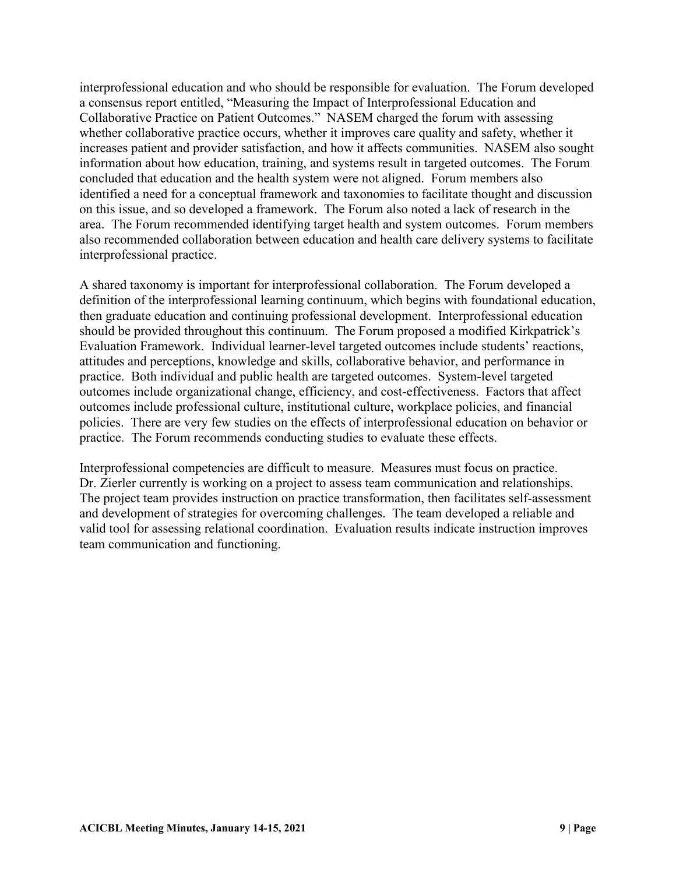interprofessional education and who should be responsible for evaluation. The Forum developed a consensus report entitled, "Measuring the Impact of Interprofessional Education and Collaborative Practice on Patient Outcomes." NASEM charged the forum with assessing whether collaborative practice occurs, whether it improves care quality and safety, whether it increases patient and provider satisfaction, and how it affects communities. NASEM also sought information about how education, training, and systems result in targeted outcomes. The Forum concluded that education and the health system were not aligned. Forum members also identified a need for a conceptual framework and taxonomies to facilitate thought and discussion on this issue, and so developed a framework. The Forum also noted a lack of research in the area. The Forum recommended identifying target health and system outcomes. Forum members also recommended collaboration between education and health care delivery systems to facilitate interprofessional practice.

A shared taxonomy is important for interprofessional collaboration. The Forum developed a definition of the interprofessional learning continuum, which begins with foundational education, then graduate education and continuing professional development. Interprofessional education should be provided throughout this continuum. The Forum proposed a modified Kirkpatrick's Evaluation Framework. Individual learner-level targeted outcomes include students' reactions, attitudes and perceptions, knowledge and skills, collaborative behavior, and performance in practice. Both individual and public health are targeted outcomes. System-level targeted outcomes include organizational change, efficiency, and cost-effectiveness. Factors that affect outcomes include professional culture, institutional culture, workplace policies, and financial policies. There are very few studies on the effects of interprofessional education on behavior or practice. The Forum recommends conducting studies to evaluate these effects.

Interprofessional competencies are difficult to measure. Measures must focus on practice. Dr. Zierler currently is working on a project to assess team communication and relationships. The project team provides instruction on practice transformation, then facilitates self-assessment and development of strategies for overcoming challenges. The team developed a reliable and valid tool for assessing relational coordination. Evaluation results indicate instruction improves team communication and functioning.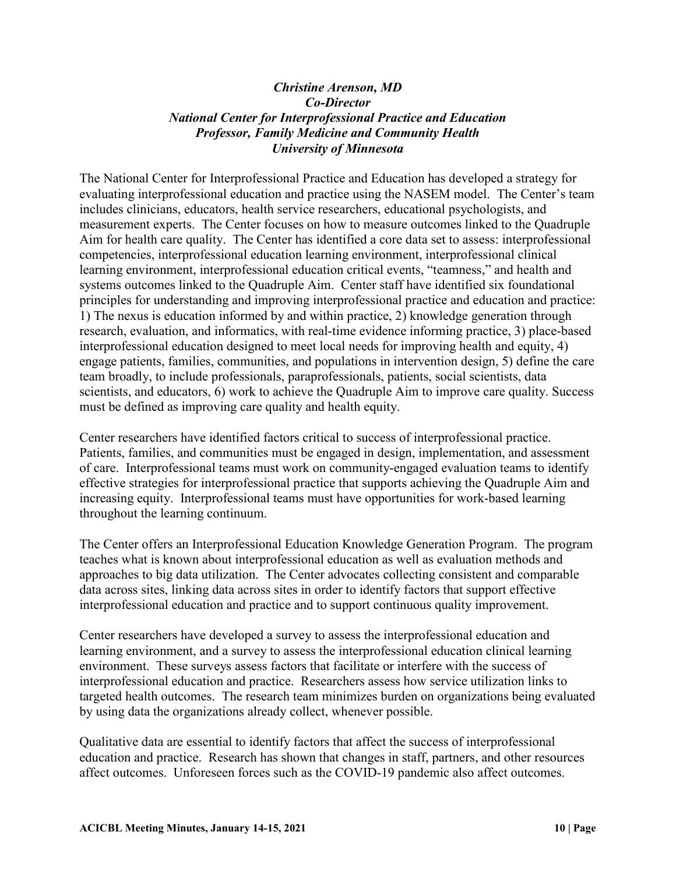# *Christine Arenson, MD Co-Director National Center for Interprofessional Practice and Education Professor, Family Medicine and Community Health University of Minnesota*

The National Center for Interprofessional Practice and Education has developed a strategy for evaluating interprofessional education and practice using the NASEM model. The Center's team includes clinicians, educators, health service researchers, educational psychologists, and measurement experts. The Center focuses on how to measure outcomes linked to the Quadruple Aim for health care quality. The Center has identified a core data set to assess: interprofessional competencies, interprofessional education learning environment, interprofessional clinical learning environment, interprofessional education critical events, "teamness," and health and systems outcomes linked to the Quadruple Aim. Center staff have identified six foundational principles for understanding and improving interprofessional practice and education and practice: 1) The nexus is education informed by and within practice, 2) knowledge generation through research, evaluation, and informatics, with real-time evidence informing practice, 3) place-based interprofessional education designed to meet local needs for improving health and equity, 4) engage patients, families, communities, and populations in intervention design, 5) define the care team broadly, to include professionals, paraprofessionals, patients, social scientists, data scientists, and educators, 6) work to achieve the Quadruple Aim to improve care quality. Success must be defined as improving care quality and health equity.

Center researchers have identified factors critical to success of interprofessional practice. Patients, families, and communities must be engaged in design, implementation, and assessment of care. Interprofessional teams must work on community-engaged evaluation teams to identify effective strategies for interprofessional practice that supports achieving the Quadruple Aim and increasing equity. Interprofessional teams must have opportunities for work-based learning throughout the learning continuum.

The Center offers an Interprofessional Education Knowledge Generation Program. The program teaches what is known about interprofessional education as well as evaluation methods and approaches to big data utilization. The Center advocates collecting consistent and comparable data across sites, linking data across sites in order to identify factors that support effective interprofessional education and practice and to support continuous quality improvement.

Center researchers have developed a survey to assess the interprofessional education and learning environment, and a survey to assess the interprofessional education clinical learning environment. These surveys assess factors that facilitate or interfere with the success of interprofessional education and practice. Researchers assess how service utilization links to targeted health outcomes. The research team minimizes burden on organizations being evaluated by using data the organizations already collect, whenever possible.

Qualitative data are essential to identify factors that affect the success of interprofessional education and practice. Research has shown that changes in staff, partners, and other resources affect outcomes. Unforeseen forces such as the COVID-19 pandemic also affect outcomes.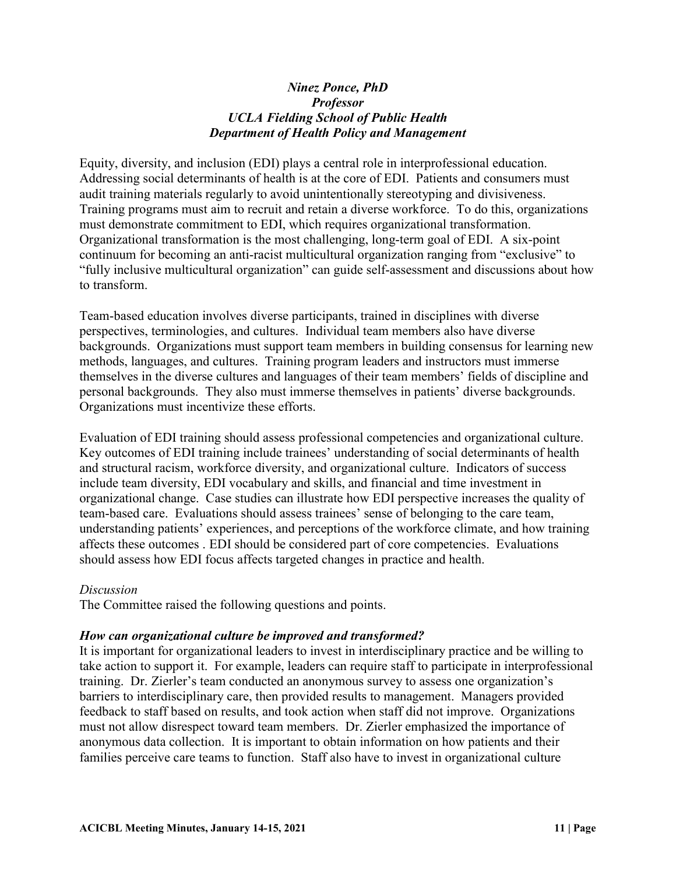### *Ninez Ponce, PhD Professor UCLA Fielding School of Public Health Department of Health Policy and Management*

Equity, diversity, and inclusion (EDI) plays a central role in interprofessional education. Addressing social determinants of health is at the core of EDI. Patients and consumers must audit training materials regularly to avoid unintentionally stereotyping and divisiveness. Training programs must aim to recruit and retain a diverse workforce. To do this, organizations must demonstrate commitment to EDI, which requires organizational transformation. Organizational transformation is the most challenging, long-term goal of EDI. A six-point continuum for becoming an anti-racist multicultural organization ranging from "exclusive" to "fully inclusive multicultural organization" can guide self-assessment and discussions about how to transform.

Team-based education involves diverse participants, trained in disciplines with diverse perspectives, terminologies, and cultures. Individual team members also have diverse backgrounds. Organizations must support team members in building consensus for learning new methods, languages, and cultures. Training program leaders and instructors must immerse themselves in the diverse cultures and languages of their team members' fields of discipline and personal backgrounds. They also must immerse themselves in patients' diverse backgrounds. Organizations must incentivize these efforts.

Evaluation of EDI training should assess professional competencies and organizational culture. Key outcomes of EDI training include trainees' understanding of social determinants of health and structural racism, workforce diversity, and organizational culture. Indicators of success include team diversity, EDI vocabulary and skills, and financial and time investment in organizational change. Case studies can illustrate how EDI perspective increases the quality of team-based care. Evaluations should assess trainees' sense of belonging to the care team, understanding patients' experiences, and perceptions of the workforce climate, and how training affects these outcomes . EDI should be considered part of core competencies. Evaluations should assess how EDI focus affects targeted changes in practice and health.

#### *Discussion*

The Committee raised the following questions and points.

### *How can organizational culture be improved and transformed?*

It is important for organizational leaders to invest in interdisciplinary practice and be willing to take action to support it. For example, leaders can require staff to participate in interprofessional training. Dr. Zierler's team conducted an anonymous survey to assess one organization's barriers to interdisciplinary care, then provided results to management. Managers provided feedback to staff based on results, and took action when staff did not improve. Organizations must not allow disrespect toward team members. Dr. Zierler emphasized the importance of anonymous data collection. It is important to obtain information on how patients and their families perceive care teams to function. Staff also have to invest in organizational culture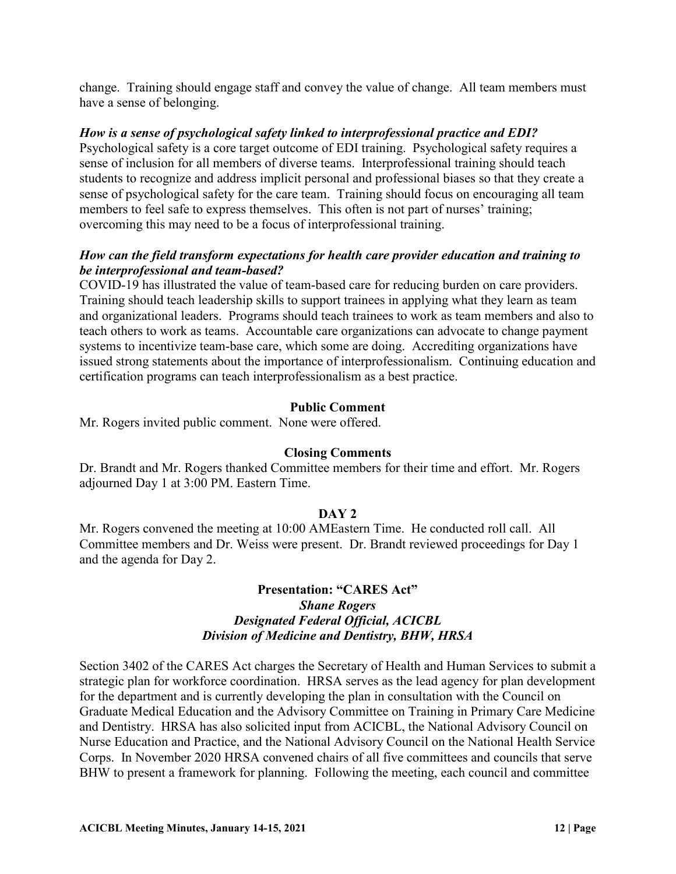change. Training should engage staff and convey the value of change. All team members must have a sense of belonging.

# *How is a sense of psychological safety linked to interprofessional practice and EDI?*

Psychological safety is a core target outcome of EDI training. Psychological safety requires a sense of inclusion for all members of diverse teams. Interprofessional training should teach students to recognize and address implicit personal and professional biases so that they create a sense of psychological safety for the care team. Training should focus on encouraging all team members to feel safe to express themselves. This often is not part of nurses' training; overcoming this may need to be a focus of interprofessional training.

# *How can the field transform expectations for health care provider education and training to be interprofessional and team-based?*

COVID-19 has illustrated the value of team-based care for reducing burden on care providers. Training should teach leadership skills to support trainees in applying what they learn as team and organizational leaders. Programs should teach trainees to work as team members and also to teach others to work as teams. Accountable care organizations can advocate to change payment systems to incentivize team-base care, which some are doing. Accrediting organizations have issued strong statements about the importance of interprofessionalism. Continuing education and certification programs can teach interprofessionalism as a best practice.

# **Public Comment**

Mr. Rogers invited public comment. None were offered.

### **Closing Comments**

Dr. Brandt and Mr. Rogers thanked Committee members for their time and effort. Mr. Rogers adjourned Day 1 at 3:00 PM. Eastern Time.

### **DAY 2**

Mr. Rogers convened the meeting at 10:00 AMEastern Time. He conducted roll call. All Committee members and Dr. Weiss were present. Dr. Brandt reviewed proceedings for Day 1 and the agenda for Day 2.

### **Presentation: "CARES Act"** *Shane Rogers Designated Federal Official, ACICBL Division of Medicine and Dentistry, BHW, HRSA*

Section 3402 of the CARES Act charges the Secretary of Health and Human Services to submit a strategic plan for workforce coordination. HRSA serves as the lead agency for plan development for the department and is currently developing the plan in consultation with the Council on Graduate Medical Education and the Advisory Committee on Training in Primary Care Medicine and Dentistry. HRSA has also solicited input from ACICBL, the National Advisory Council on Nurse Education and Practice, and the National Advisory Council on the National Health Service Corps. In November 2020 HRSA convened chairs of all five committees and councils that serve BHW to present a framework for planning. Following the meeting, each council and committee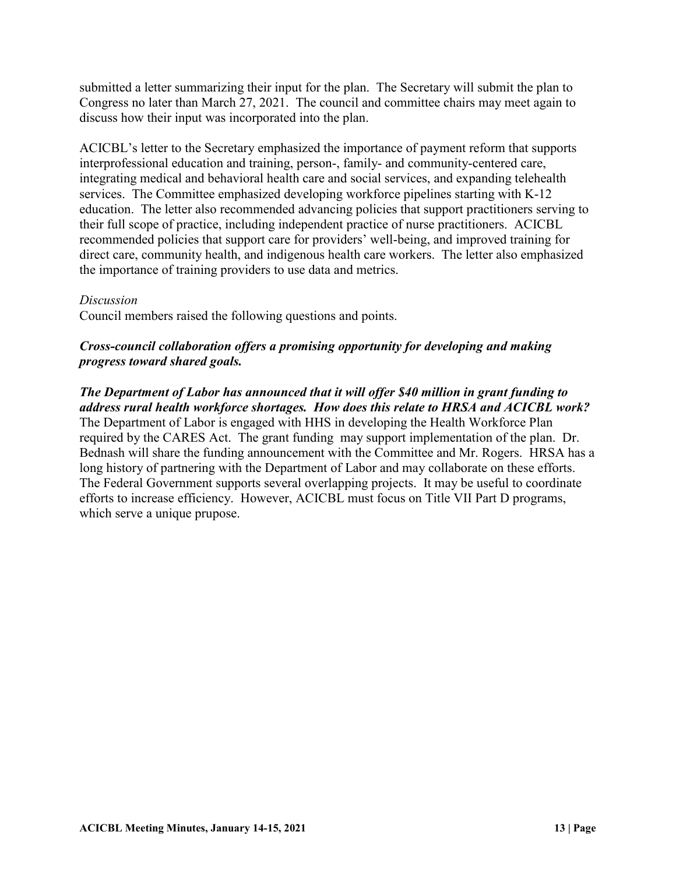submitted a letter summarizing their input for the plan. The Secretary will submit the plan to Congress no later than March 27, 2021. The council and committee chairs may meet again to discuss how their input was incorporated into the plan.

ACICBL's letter to the Secretary emphasized the importance of payment reform that supports interprofessional education and training, person-, family- and community-centered care, integrating medical and behavioral health care and social services, and expanding telehealth services. The Committee emphasized developing workforce pipelines starting with K-12 education. The letter also recommended advancing policies that support practitioners serving to their full scope of practice, including independent practice of nurse practitioners. ACICBL recommended policies that support care for providers' well-being, and improved training for direct care, community health, and indigenous health care workers. The letter also emphasized the importance of training providers to use data and metrics.

### *Discussion*

Council members raised the following questions and points.

# *Cross-council collaboration offers a promising opportunity for developing and making progress toward shared goals.*

*The Department of Labor has announced that it will offer \$40 million in grant funding to address rural health workforce shortages. How does this relate to HRSA and ACICBL work?* The Department of Labor is engaged with HHS in developing the Health Workforce Plan required by the CARES Act. The grant funding may support implementation of the plan. Dr. Bednash will share the funding announcement with the Committee and Mr. Rogers. HRSA has a long history of partnering with the Department of Labor and may collaborate on these efforts. The Federal Government supports several overlapping projects. It may be useful to coordinate efforts to increase efficiency. However, ACICBL must focus on Title VII Part D programs, which serve a unique prupose.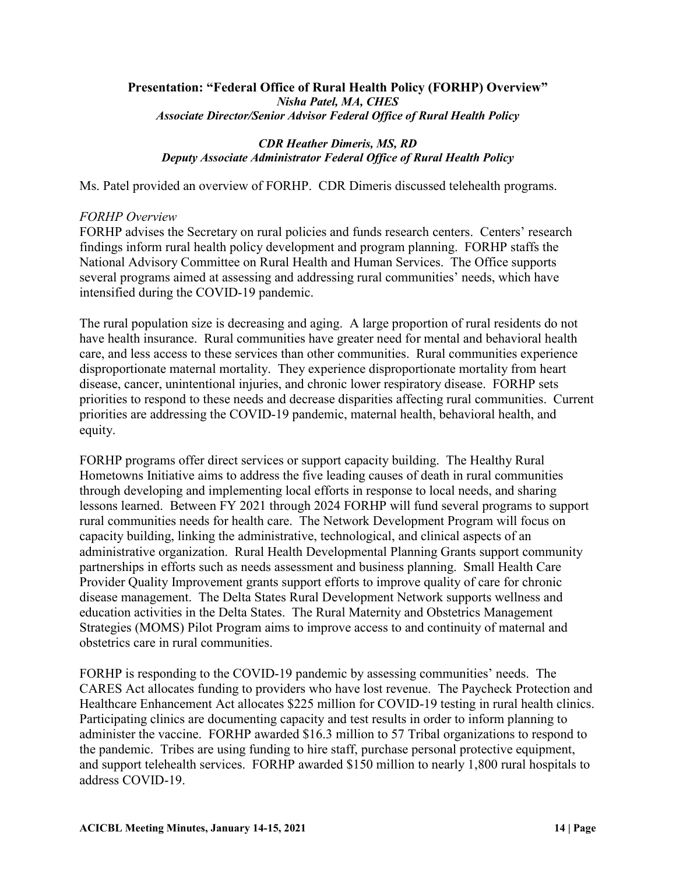#### **Presentation: "Federal Office of Rural Health Policy (FORHP) Overview"**  *Nisha Patel, MA, CHES Associate Director/Senior Advisor Federal Office of Rural Health Policy*

### *CDR Heather Dimeris, MS, RD Deputy Associate Administrator Federal Office of Rural Health Policy*

Ms. Patel provided an overview of FORHP. CDR Dimeris discussed telehealth programs.

# *FORHP Overview*

FORHP advises the Secretary on rural policies and funds research centers. Centers' research findings inform rural health policy development and program planning. FORHP staffs the National Advisory Committee on Rural Health and Human Services. The Office supports several programs aimed at assessing and addressing rural communities' needs, which have intensified during the COVID-19 pandemic.

The rural population size is decreasing and aging. A large proportion of rural residents do not have health insurance. Rural communities have greater need for mental and behavioral health care, and less access to these services than other communities. Rural communities experience disproportionate maternal mortality. They experience disproportionate mortality from heart disease, cancer, unintentional injuries, and chronic lower respiratory disease. FORHP sets priorities to respond to these needs and decrease disparities affecting rural communities. Current priorities are addressing the COVID-19 pandemic, maternal health, behavioral health, and equity.

FORHP programs offer direct services or support capacity building. The Healthy Rural Hometowns Initiative aims to address the five leading causes of death in rural communities through developing and implementing local efforts in response to local needs, and sharing lessons learned. Between FY 2021 through 2024 FORHP will fund several programs to support rural communities needs for health care. The Network Development Program will focus on capacity building, linking the administrative, technological, and clinical aspects of an administrative organization. Rural Health Developmental Planning Grants support community partnerships in efforts such as needs assessment and business planning. Small Health Care Provider Quality Improvement grants support efforts to improve quality of care for chronic disease management. The Delta States Rural Development Network supports wellness and education activities in the Delta States. The Rural Maternity and Obstetrics Management Strategies (MOMS) Pilot Program aims to improve access to and continuity of maternal and obstetrics care in rural communities.

FORHP is responding to the COVID-19 pandemic by assessing communities' needs. The CARES Act allocates funding to providers who have lost revenue. The Paycheck Protection and Healthcare Enhancement Act allocates \$225 million for COVID-19 testing in rural health clinics. Participating clinics are documenting capacity and test results in order to inform planning to administer the vaccine. FORHP awarded \$16.3 million to 57 Tribal organizations to respond to the pandemic. Tribes are using funding to hire staff, purchase personal protective equipment, and support telehealth services. FORHP awarded \$150 million to nearly 1,800 rural hospitals to address COVID-19.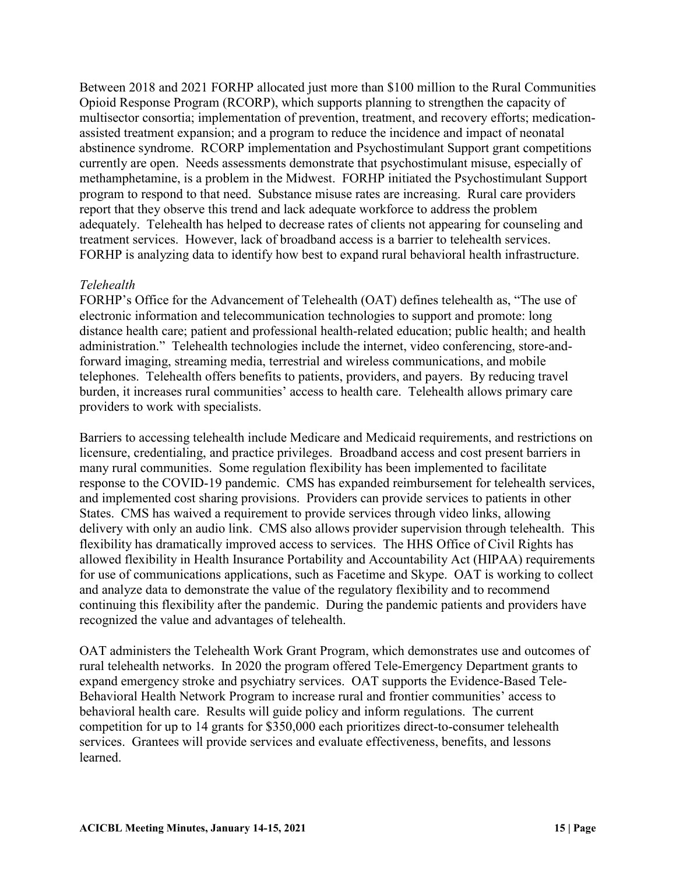Between 2018 and 2021 FORHP allocated just more than \$100 million to the Rural Communities Opioid Response Program (RCORP), which supports planning to strengthen the capacity of multisector consortia; implementation of prevention, treatment, and recovery efforts; medicationassisted treatment expansion; and a program to reduce the incidence and impact of neonatal abstinence syndrome. RCORP implementation and Psychostimulant Support grant competitions currently are open. Needs assessments demonstrate that psychostimulant misuse, especially of methamphetamine, is a problem in the Midwest. FORHP initiated the Psychostimulant Support program to respond to that need. Substance misuse rates are increasing. Rural care providers report that they observe this trend and lack adequate workforce to address the problem adequately. Telehealth has helped to decrease rates of clients not appearing for counseling and treatment services. However, lack of broadband access is a barrier to telehealth services. FORHP is analyzing data to identify how best to expand rural behavioral health infrastructure.

# *Telehealth*

FORHP's Office for the Advancement of Telehealth (OAT) defines telehealth as, "The use of electronic information and telecommunication technologies to support and promote: long distance health care; patient and professional health-related education; public health; and health administration." Telehealth technologies include the internet, video conferencing, store-andforward imaging, streaming media, terrestrial and wireless communications, and mobile telephones. Telehealth offers benefits to patients, providers, and payers. By reducing travel burden, it increases rural communities' access to health care. Telehealth allows primary care providers to work with specialists.

Barriers to accessing telehealth include Medicare and Medicaid requirements, and restrictions on licensure, credentialing, and practice privileges. Broadband access and cost present barriers in many rural communities. Some regulation flexibility has been implemented to facilitate response to the COVID-19 pandemic. CMS has expanded reimbursement for telehealth services, and implemented cost sharing provisions. Providers can provide services to patients in other States. CMS has waived a requirement to provide services through video links, allowing delivery with only an audio link. CMS also allows provider supervision through telehealth. This flexibility has dramatically improved access to services. The HHS Office of Civil Rights has allowed flexibility in Health Insurance Portability and Accountability Act (HIPAA) requirements for use of communications applications, such as Facetime and Skype. OAT is working to collect and analyze data to demonstrate the value of the regulatory flexibility and to recommend continuing this flexibility after the pandemic. During the pandemic patients and providers have recognized the value and advantages of telehealth.

OAT administers the Telehealth Work Grant Program, which demonstrates use and outcomes of rural telehealth networks. In 2020 the program offered Tele-Emergency Department grants to expand emergency stroke and psychiatry services. OAT supports the Evidence-Based Tele-Behavioral Health Network Program to increase rural and frontier communities' access to behavioral health care. Results will guide policy and inform regulations. The current competition for up to 14 grants for \$350,000 each prioritizes direct-to-consumer telehealth services. Grantees will provide services and evaluate effectiveness, benefits, and lessons learned.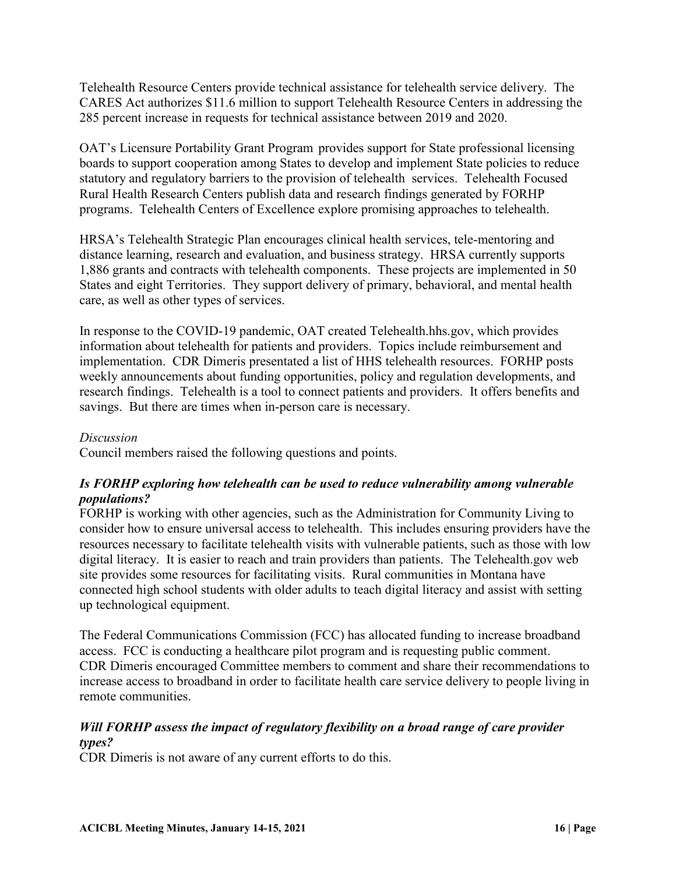Telehealth Resource Centers provide technical assistance for telehealth service delivery. The CARES Act authorizes \$11.6 million to support Telehealth Resource Centers in addressing the 285 percent increase in requests for technical assistance between 2019 and 2020.

OAT's Licensure Portability Grant Program provides support for State professional licensing boards to support cooperation among States to develop and implement State policies to reduce statutory and regulatory barriers to the provision of telehealth services. Telehealth Focused Rural Health Research Centers publish data and research findings generated by FORHP programs. Telehealth Centers of Excellence explore promising approaches to telehealth.

HRSA's Telehealth Strategic Plan encourages clinical health services, tele-mentoring and distance learning, research and evaluation, and business strategy. HRSA currently supports 1,886 grants and contracts with telehealth components. These projects are implemented in 50 States and eight Territories. They support delivery of primary, behavioral, and mental health care, as well as other types of services.

In response to the COVID-19 pandemic, OAT created Telehealth.hhs.gov, which provides information about telehealth for patients and providers. Topics include reimbursement and implementation. CDR Dimeris presentated a list of HHS telehealth resources. FORHP posts weekly announcements about funding opportunities, policy and regulation developments, and research findings. Telehealth is a tool to connect patients and providers. It offers benefits and savings. But there are times when in-person care is necessary.

### *Discussion*

Council members raised the following questions and points.

# *Is FORHP exploring how telehealth can be used to reduce vulnerability among vulnerable populations?*

FORHP is working with other agencies, such as the Administration for Community Living to consider how to ensure universal access to telehealth. This includes ensuring providers have the resources necessary to facilitate telehealth visits with vulnerable patients, such as those with low digital literacy. It is easier to reach and train providers than patients. The Telehealth.gov web site provides some resources for facilitating visits. Rural communities in Montana have connected high school students with older adults to teach digital literacy and assist with setting up technological equipment.

The Federal Communications Commission (FCC) has allocated funding to increase broadband access. FCC is conducting a healthcare pilot program and is requesting public comment. CDR Dimeris encouraged Committee members to comment and share their recommendations to increase access to broadband in order to facilitate health care service delivery to people living in remote communities.

# *Will FORHP assess the impact of regulatory flexibility on a broad range of care provider types?*

CDR Dimeris is not aware of any current efforts to do this.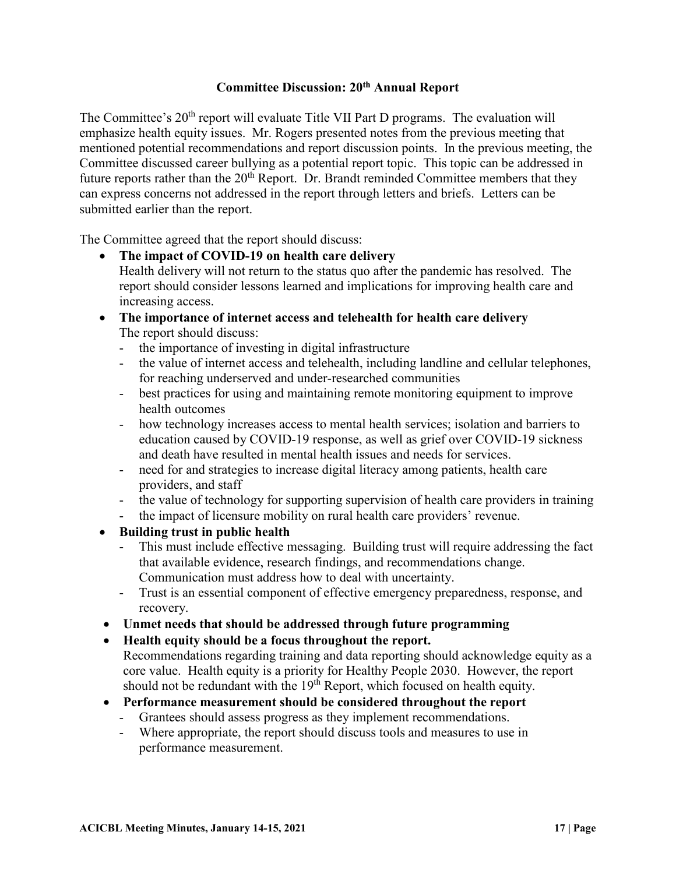# **Committee Discussion: 20th Annual Report**

The Committee's 20<sup>th</sup> report will evaluate Title VII Part D programs. The evaluation will emphasize health equity issues. Mr. Rogers presented notes from the previous meeting that mentioned potential recommendations and report discussion points. In the previous meeting, the Committee discussed career bullying as a potential report topic. This topic can be addressed in future reports rather than the  $20<sup>th</sup>$  Report. Dr. Brandt reminded Committee members that they can express concerns not addressed in the report through letters and briefs. Letters can be submitted earlier than the report.

The Committee agreed that the report should discuss:

- **The impact of COVID-19 on health care delivery** Health delivery will not return to the status quo after the pandemic has resolved. The report should consider lessons learned and implications for improving health care and increasing access.
- **The importance of internet access and telehealth for health care delivery** The report should discuss:
	- the importance of investing in digital infrastructure
	- the value of internet access and telehealth, including landline and cellular telephones, for reaching underserved and under-researched communities
	- best practices for using and maintaining remote monitoring equipment to improve health outcomes
	- how technology increases access to mental health services; isolation and barriers to education caused by COVID-19 response, as well as grief over COVID-19 sickness and death have resulted in mental health issues and needs for services.
	- need for and strategies to increase digital literacy among patients, health care providers, and staff
	- the value of technology for supporting supervision of health care providers in training
	- the impact of licensure mobility on rural health care providers' revenue.
- **Building trust in public health**
	- This must include effective messaging. Building trust will require addressing the fact that available evidence, research findings, and recommendations change. Communication must address how to deal with uncertainty.
	- Trust is an essential component of effective emergency preparedness, response, and recovery.
- **Unmet needs that should be addressed through future programming**
- **Health equity should be a focus throughout the report.**

Recommendations regarding training and data reporting should acknowledge equity as a core value. Health equity is a priority for Healthy People 2030. However, the report should not be redundant with the  $19<sup>th</sup>$  Report, which focused on health equity.

- **Performance measurement should be considered throughout the report**
	- Grantees should assess progress as they implement recommendations.
	- Where appropriate, the report should discuss tools and measures to use in performance measurement.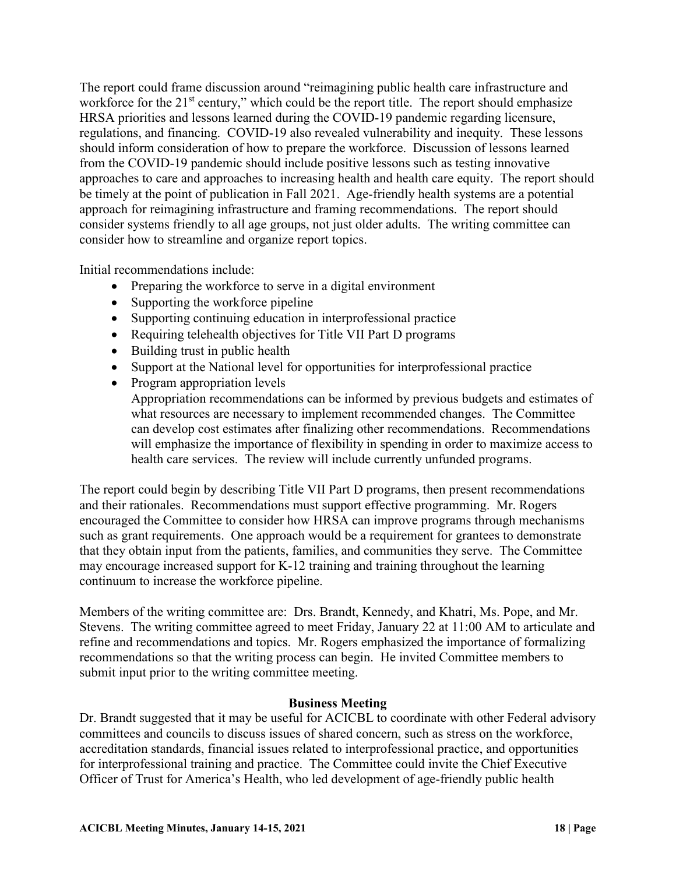The report could frame discussion around "reimagining public health care infrastructure and workforce for the  $21<sup>st</sup>$  century," which could be the report title. The report should emphasize HRSA priorities and lessons learned during the COVID-19 pandemic regarding licensure, regulations, and financing. COVID-19 also revealed vulnerability and inequity. These lessons should inform consideration of how to prepare the workforce. Discussion of lessons learned from the COVID-19 pandemic should include positive lessons such as testing innovative approaches to care and approaches to increasing health and health care equity. The report should be timely at the point of publication in Fall 2021. Age-friendly health systems are a potential approach for reimagining infrastructure and framing recommendations. The report should consider systems friendly to all age groups, not just older adults. The writing committee can consider how to streamline and organize report topics.

Initial recommendations include:

- Preparing the workforce to serve in a digital environment
- Supporting the workforce pipeline
- Supporting continuing education in interprofessional practice
- Requiring telehealth objectives for Title VII Part D programs
- Building trust in public health
- Support at the National level for opportunities for interprofessional practice
- Program appropriation levels Appropriation recommendations can be informed by previous budgets and estimates of what resources are necessary to implement recommended changes. The Committee can develop cost estimates after finalizing other recommendations. Recommendations will emphasize the importance of flexibility in spending in order to maximize access to health care services. The review will include currently unfunded programs.

The report could begin by describing Title VII Part D programs, then present recommendations and their rationales. Recommendations must support effective programming. Mr. Rogers encouraged the Committee to consider how HRSA can improve programs through mechanisms such as grant requirements. One approach would be a requirement for grantees to demonstrate that they obtain input from the patients, families, and communities they serve. The Committee may encourage increased support for K-12 training and training throughout the learning continuum to increase the workforce pipeline.

Members of the writing committee are: Drs. Brandt, Kennedy, and Khatri, Ms. Pope, and Mr. Stevens. The writing committee agreed to meet Friday, January 22 at 11:00 AM to articulate and refine and recommendations and topics. Mr. Rogers emphasized the importance of formalizing recommendations so that the writing process can begin. He invited Committee members to submit input prior to the writing committee meeting.

#### **Business Meeting**

Dr. Brandt suggested that it may be useful for ACICBL to coordinate with other Federal advisory committees and councils to discuss issues of shared concern, such as stress on the workforce, accreditation standards, financial issues related to interprofessional practice, and opportunities for interprofessional training and practice. The Committee could invite the Chief Executive Officer of Trust for America's Health, who led development of age-friendly public health